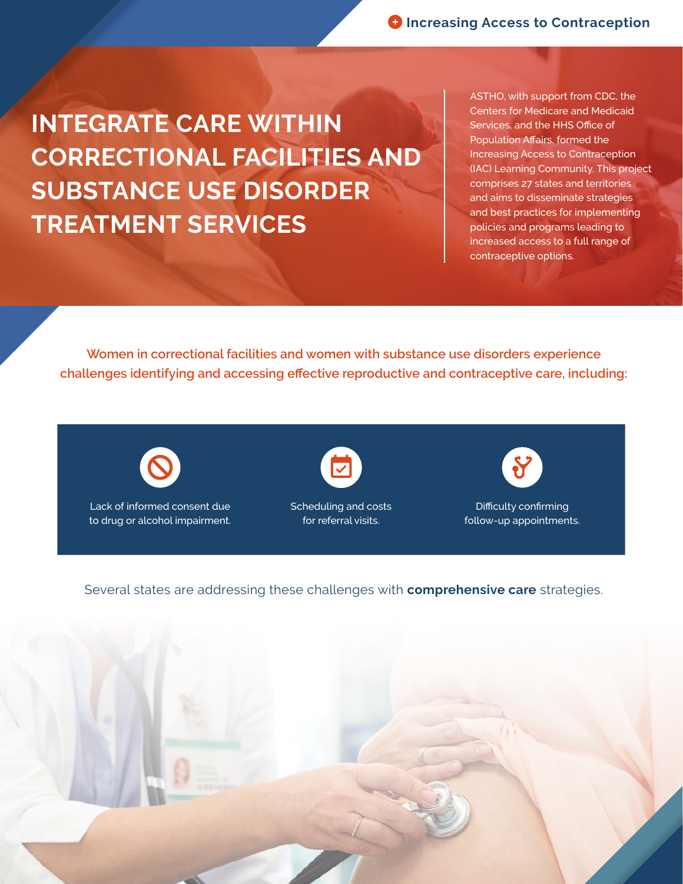**INTEGRATE CARE WITHIN CORRECTIONAL FACILITIES AND SUBSTANCE USE DISORDER TREATMENT SERVICES**

ASTHO, with support from CDC, the Centers for Medicare and Medicaid Services, and the HHS Office of Population Affairs, formed the Increasing Access to Contraception (IAC) Learning Community. This project comprises 27 states and territories and aims to disseminate strategies and best practices for implementing policies and programs leading to increased access to a full range of contraceptive options.

**Women in correctional facilities and women with substance use disorders experience challenges identifying and accessing effective reproductive and contraceptive care, including:**



Lack of informed consent due to drug or alcohol impairment.



Scheduling and costs for referral visits.



Difficulty confirming follow-up appointments.

Several states are addressing these challenges with **comprehensive care** strategies.